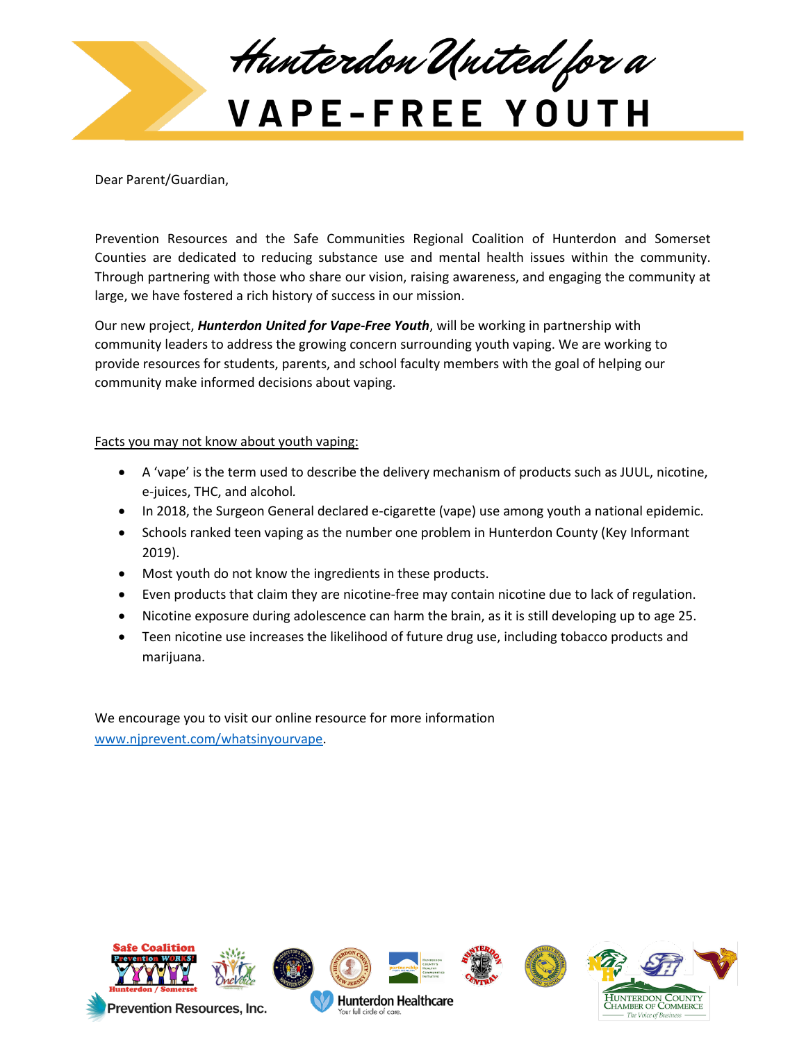

Dear Parent/Guardian,

Prevention Resources and the Safe Communities Regional Coalition of Hunterdon and Somerset Counties are dedicated to reducing substance use and mental health issues within the community. Through partnering with those who share our vision, raising awareness, and engaging the community at large, we have fostered a rich history of success in our mission.

Our new project, *Hunterdon United for Vape-Free Youth*, will be working in partnership with community leaders to address the growing concern surrounding youth vaping. We are working to provide resources for students, parents, and school faculty members with the goal of helping our community make informed decisions about vaping.

## Facts you may not know about youth vaping:

- A 'vape' is the term used to describe the delivery mechanism of products such as JUUL, nicotine, e-juices, THC, and alcohol*.*
- In 2018, the Surgeon General declared e-cigarette (vape) use among youth a national epidemic.
- Schools ranked teen vaping as the number one problem in Hunterdon County (Key Informant 2019).
- Most youth do not know the ingredients in these products.
- Even products that claim they are nicotine-free may contain nicotine due to lack of regulation.
- Nicotine exposure during adolescence can harm the brain, as it is still developing up to age 25.
- Teen nicotine use increases the likelihood of future drug use, including tobacco products and marijuana.

We encourage you to visit our online resource for more information [www.njprevent.com/whatsinyourvape.](http://www.njprevent.com/whatsinyourvape)